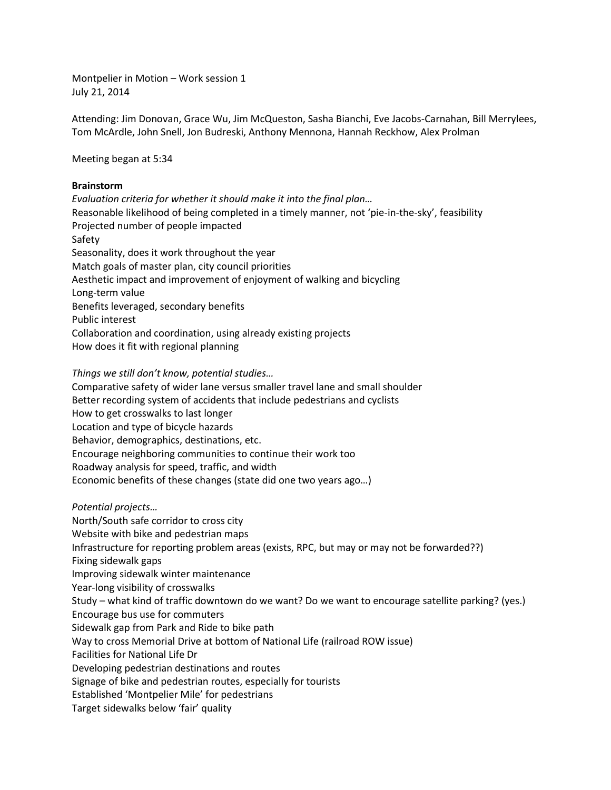Montpelier in Motion – Work session 1 July 21, 2014

Attending: Jim Donovan, Grace Wu, Jim McQueston, Sasha Bianchi, Eve Jacobs-Carnahan, Bill Merrylees, Tom McArdle, John Snell, Jon Budreski, Anthony Mennona, Hannah Reckhow, Alex Prolman

Meeting began at 5:34

## **Brainstorm**

*Evaluation criteria for whether it should make it into the final plan…* Reasonable likelihood of being completed in a timely manner, not 'pie-in-the-sky', feasibility Projected number of people impacted Safety Seasonality, does it work throughout the year Match goals of master plan, city council priorities Aesthetic impact and improvement of enjoyment of walking and bicycling Long-term value Benefits leveraged, secondary benefits Public interest Collaboration and coordination, using already existing projects How does it fit with regional planning

*Things we still don't know, potential studies…*

Comparative safety of wider lane versus smaller travel lane and small shoulder Better recording system of accidents that include pedestrians and cyclists How to get crosswalks to last longer Location and type of bicycle hazards Behavior, demographics, destinations, etc. Encourage neighboring communities to continue their work too Roadway analysis for speed, traffic, and width Economic benefits of these changes (state did one two years ago…)

*Potential projects…* North/South safe corridor to cross city Website with bike and pedestrian maps Infrastructure for reporting problem areas (exists, RPC, but may or may not be forwarded??) Fixing sidewalk gaps Improving sidewalk winter maintenance Year-long visibility of crosswalks Study – what kind of traffic downtown do we want? Do we want to encourage satellite parking? (yes.) Encourage bus use for commuters Sidewalk gap from Park and Ride to bike path Way to cross Memorial Drive at bottom of National Life (railroad ROW issue) Facilities for National Life Dr Developing pedestrian destinations and routes Signage of bike and pedestrian routes, especially for tourists Established 'Montpelier Mile' for pedestrians Target sidewalks below 'fair' quality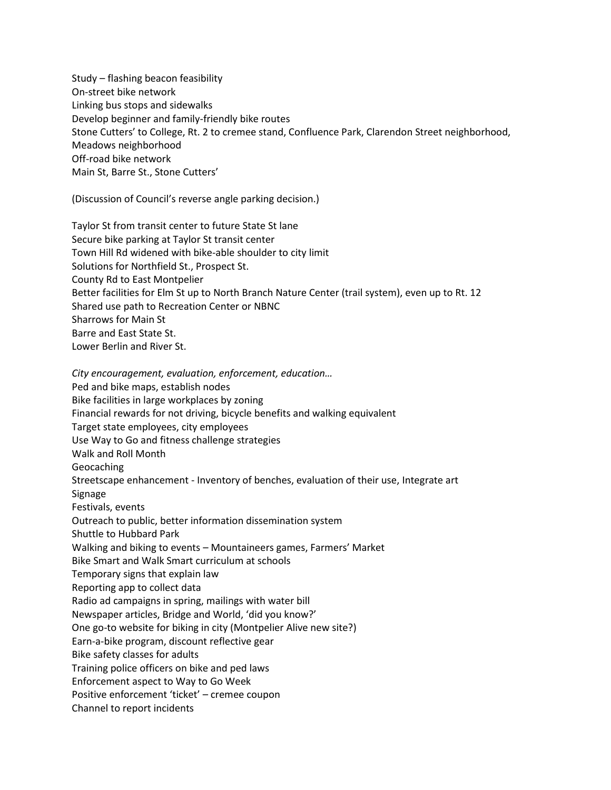Study – flashing beacon feasibility On-street bike network Linking bus stops and sidewalks Develop beginner and family-friendly bike routes Stone Cutters' to College, Rt. 2 to cremee stand, Confluence Park, Clarendon Street neighborhood, Meadows neighborhood Off-road bike network Main St, Barre St., Stone Cutters'

(Discussion of Council's reverse angle parking decision.)

Taylor St from transit center to future State St lane Secure bike parking at Taylor St transit center Town Hill Rd widened with bike-able shoulder to city limit Solutions for Northfield St., Prospect St. County Rd to East Montpelier Better facilities for Elm St up to North Branch Nature Center (trail system), even up to Rt. 12 Shared use path to Recreation Center or NBNC Sharrows for Main St Barre and East State St. Lower Berlin and River St.

*City encouragement, evaluation, enforcement, education…* Ped and bike maps, establish nodes Bike facilities in large workplaces by zoning Financial rewards for not driving, bicycle benefits and walking equivalent Target state employees, city employees Use Way to Go and fitness challenge strategies Walk and Roll Month Geocaching Streetscape enhancement - Inventory of benches, evaluation of their use, Integrate art Signage Festivals, events Outreach to public, better information dissemination system Shuttle to Hubbard Park Walking and biking to events – Mountaineers games, Farmers' Market Bike Smart and Walk Smart curriculum at schools Temporary signs that explain law Reporting app to collect data Radio ad campaigns in spring, mailings with water bill Newspaper articles, Bridge and World, 'did you know?' One go-to website for biking in city (Montpelier Alive new site?) Earn-a-bike program, discount reflective gear Bike safety classes for adults Training police officers on bike and ped laws Enforcement aspect to Way to Go Week Positive enforcement 'ticket' – cremee coupon Channel to report incidents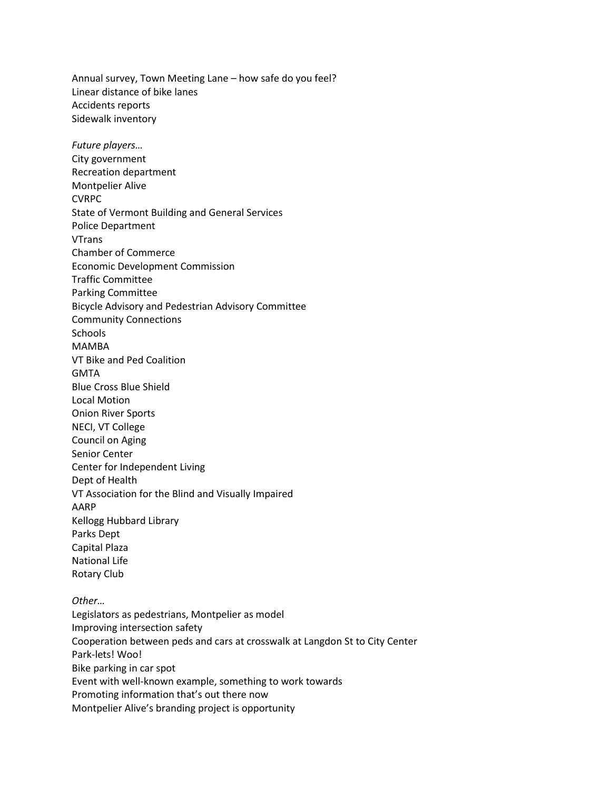Annual survey, Town Meeting Lane – how safe do you feel? Linear distance of bike lanes Accidents reports Sidewalk inventory *Future players…* City government Recreation department Montpelier Alive CVRPC State of Vermont Building and General Services Police Department VTrans Chamber of Commerce Economic Development Commission Traffic Committee Parking Committee Bicycle Advisory and Pedestrian Advisory Committee Community Connections Schools MAMBA VT Bike and Ped Coalition GMTA Blue Cross Blue Shield Local Motion Onion River Sports NECI, VT College Council on Aging Senior Center Center for Independent Living Dept of Health VT Association for the Blind and Visually Impaired AARP Kellogg Hubbard Library Parks Dept Capital Plaza National Life Rotary Club *Other…* Legislators as pedestrians, Montpelier as model Improving intersection safety Cooperation between peds and cars at crosswalk at Langdon St to City Center Park-lets! Woo! Bike parking in car spot Event with well-known example, something to work towards Promoting information that's out there now Montpelier Alive's branding project is opportunity